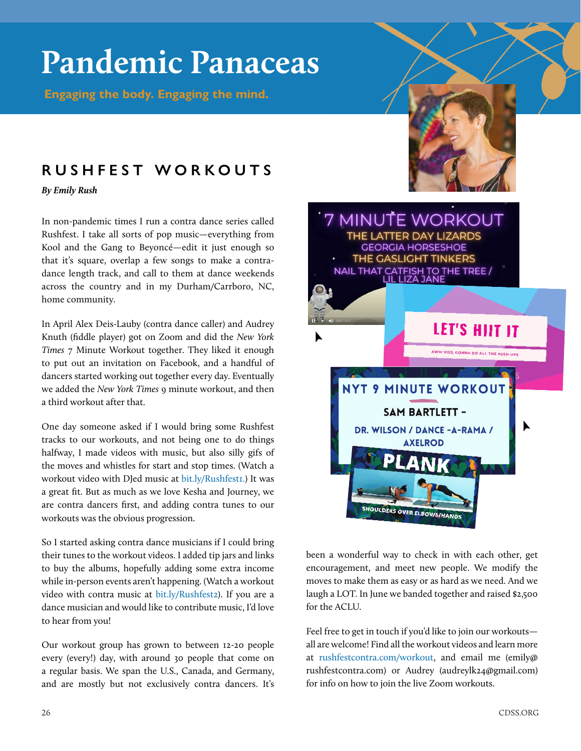## **Pandemic Panaceas**

 **Engaging the body. Engaging the mind.**

## **RUSHFEST WORKOUTS**

*By Emily Rush*

In non-pandemic times I run a contra dance series called Rushfest. I take all sorts of pop music—everything from Kool and the Gang to Beyoncé—edit it just enough so that it's square, overlap a few songs to make a contradance length track, and call to them at dance weekends across the country and in my Durham/Carrboro, NC, home community.

In April Alex Deis-Lauby (contra dance caller) and Audrey Knuth (fiddle player) got on Zoom and did the *New York Times* 7 Minute Workout together. They liked it enough to put out an invitation on Facebook, and a handful of dancers started working out together every day. Eventually we added the *New York Times* 9 minute workout, and then a third workout after that.

One day someone asked if I would bring some Rushfest tracks to our workouts, and not being one to do things halfway, I made videos with music, but also silly gifs of the moves and whistles for start and stop times. (Watch a workout video with DJed music at [bit.ly/Rushfest1.](https://www.youtube.com/watch?v=sdh1gac2r6s&feature=youtu.be)) It was a great fit. But as much as we love Kesha and Journey, we are contra dancers first, and adding contra tunes to our workouts was the obvious progression.

So I started asking contra dance musicians if I could bring their tunes to the workout videos. I added tip jars and links to buy the albums, hopefully adding some extra income while in-person events aren't happening. (Watch a workout video with contra music at [bit.ly/Rushfest2\)](https://www.youtube.com/watch?v=2wVg0MkR5O0&feature=youtu.be). If you are a dance musician and would like to contribute music, I'd love to hear from you!

Our workout group has grown to between 12-20 people every (every!) day, with around 30 people that come on a regular basis. We span the U.S., Canada, and Germany, and are mostly but not exclusively contra dancers. It's



been a wonderful way to check in with each other, get encouragement, and meet new people. We modify the moves to make them as easy or as hard as we need. And we laugh a LOT. In June we banded together and raised \$2,500 for the ACLU.

Feel free to get in touch if you'd like to join our workouts all are welcome! Find all the workout videos and learn more at [rushfestcontra.com/workout,](https://www.rushfestcontra.com/workout) and email me (emily@ rushfestcontra.com) or Audrey (audreylk24@gmail.com) for info on how to join the live Zoom workouts.